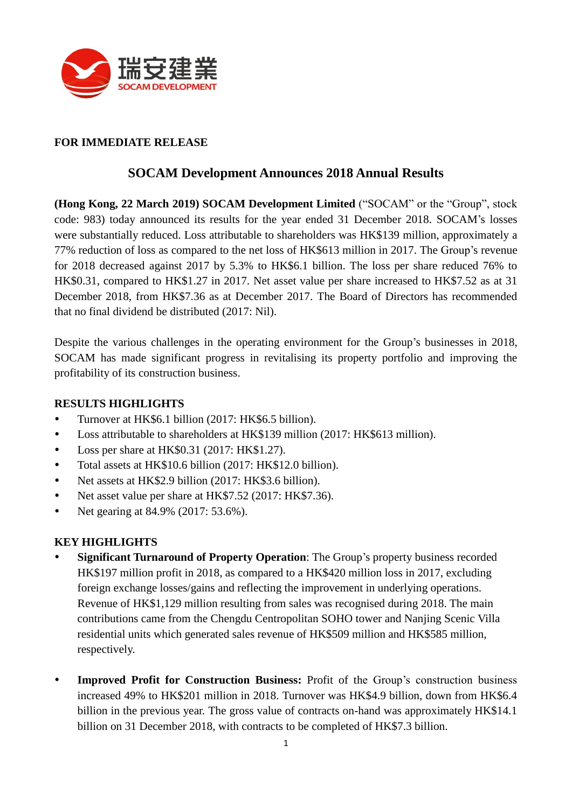

## **FOR IMMEDIATE RELEASE**

## **SOCAM Development Announces 2018 Annual Results**

**(Hong Kong, 22 March 2019) SOCAM Development Limited** ("SOCAM" or the "Group", stock code: 983) today announced its results for the year ended 31 December 2018. SOCAM's losses were substantially reduced. Loss attributable to shareholders was HK\$139 million, approximately a 77% reduction of loss as compared to the net loss of HK\$613 million in 2017. The Group's revenue for 2018 decreased against 2017 by 5.3% to HK\$6.1 billion. The loss per share reduced 76% to HK\$0.31, compared to HK\$1.27 in 2017. Net asset value per share increased to HK\$7.52 as at 31 December 2018, from HK\$7.36 as at December 2017. The Board of Directors has recommended that no final dividend be distributed (2017: Nil).

Despite the various challenges in the operating environment for the Group's businesses in 2018, SOCAM has made significant progress in revitalising its property portfolio and improving the profitability of its construction business.

### **RESULTS HIGHLIGHTS**

- Turnover at HK\$6.1 billion (2017: HK\$6.5 billion).
- Loss attributable to shareholders at HK\$139 million (2017: HK\$613 million).
- Loss per share at HK\$0.31 (2017: HK\$1.27).
- Total assets at HK\$10.6 billion (2017: HK\$12.0 billion).
- Net assets at HK\$2.9 billion (2017: HK\$3.6 billion).
- Net asset value per share at HK\$7.52 (2017: HK\$7.36).
- Net gearing at 84.9% (2017: 53.6%).

### **KEY HIGHLIGHTS**

- **Significant Turnaround of Property Operation**: The Group's property business recorded HK\$197 million profit in 2018, as compared to a HK\$420 million loss in 2017, excluding foreign exchange losses/gains and reflecting the improvement in underlying operations. Revenue of HK\$1,129 million resulting from sales was recognised during 2018. The main contributions came from the Chengdu Centropolitan SOHO tower and Nanjing Scenic Villa residential units which generated sales revenue of HK\$509 million and HK\$585 million, respectively.
- **Improved Profit for Construction Business:** Profit of the Group's construction business increased 49% to HK\$201 million in 2018. Turnover was HK\$4.9 billion, down from HK\$6.4 billion in the previous year. The gross value of contracts on-hand was approximately HK\$14.1 billion on 31 December 2018, with contracts to be completed of HK\$7.3 billion.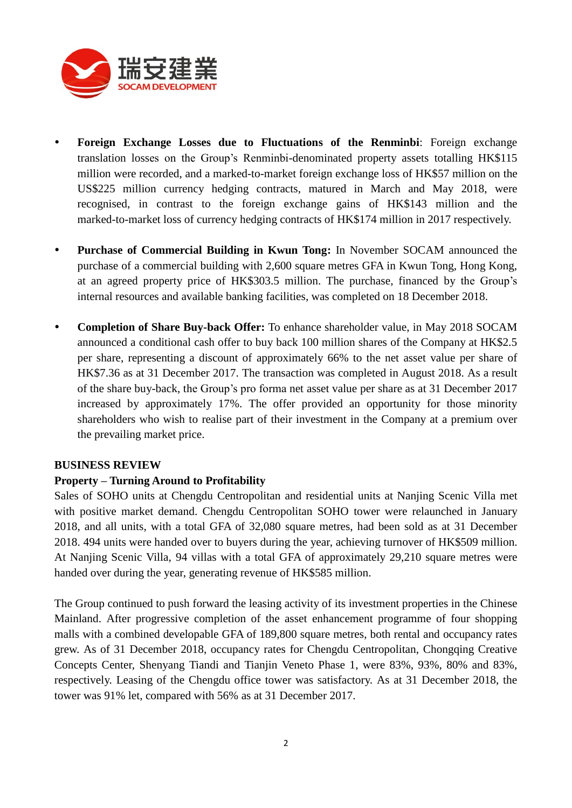

- **Foreign Exchange Losses due to Fluctuations of the Renminbi**: Foreign exchange translation losses on the Group's Renminbi-denominated property assets totalling HK\$115 million were recorded, and a marked-to-market foreign exchange loss of HK\$57 million on the US\$225 million currency hedging contracts, matured in March and May 2018, were recognised, in contrast to the foreign exchange gains of HK\$143 million and the marked-to-market loss of currency hedging contracts of HK\$174 million in 2017 respectively.
- **Purchase of Commercial Building in Kwun Tong:** In November SOCAM announced the purchase of a commercial building with 2,600 square metres GFA in Kwun Tong, Hong Kong, at an agreed property price of HK\$303.5 million. The purchase, financed by the Group's internal resources and available banking facilities, was completed on 18 December 2018.
- **Completion of Share Buy-back Offer:** To enhance shareholder value, in May 2018 SOCAM announced a conditional cash offer to buy back 100 million shares of the Company at HK\$2.5 per share, representing a discount of approximately 66% to the net asset value per share of HK\$7.36 as at 31 December 2017. The transaction was completed in August 2018. As a result of the share buy-back, the Group's pro forma net asset value per share as at 31 December 2017 increased by approximately 17%. The offer provided an opportunity for those minority shareholders who wish to realise part of their investment in the Company at a premium over the prevailing market price.

#### **BUSINESS REVIEW**

#### **Property – Turning Around to Profitability**

Sales of SOHO units at Chengdu Centropolitan and residential units at Nanjing Scenic Villa met with positive market demand. Chengdu Centropolitan SOHO tower were relaunched in January 2018, and all units, with a total GFA of 32,080 square metres, had been sold as at 31 December 2018. 494 units were handed over to buyers during the year, achieving turnover of HK\$509 million. At Nanjing Scenic Villa, 94 villas with a total GFA of approximately 29,210 square metres were handed over during the year, generating revenue of HK\$585 million.

The Group continued to push forward the leasing activity of its investment properties in the Chinese Mainland. After progressive completion of the asset enhancement programme of four shopping malls with a combined developable GFA of 189,800 square metres, both rental and occupancy rates grew. As of 31 December 2018, occupancy rates for Chengdu Centropolitan, Chongqing Creative Concepts Center, Shenyang Tiandi and Tianjin Veneto Phase 1, were 83%, 93%, 80% and 83%, respectively. Leasing of the Chengdu office tower was satisfactory. As at 31 December 2018, the tower was 91% let, compared with 56% as at 31 December 2017.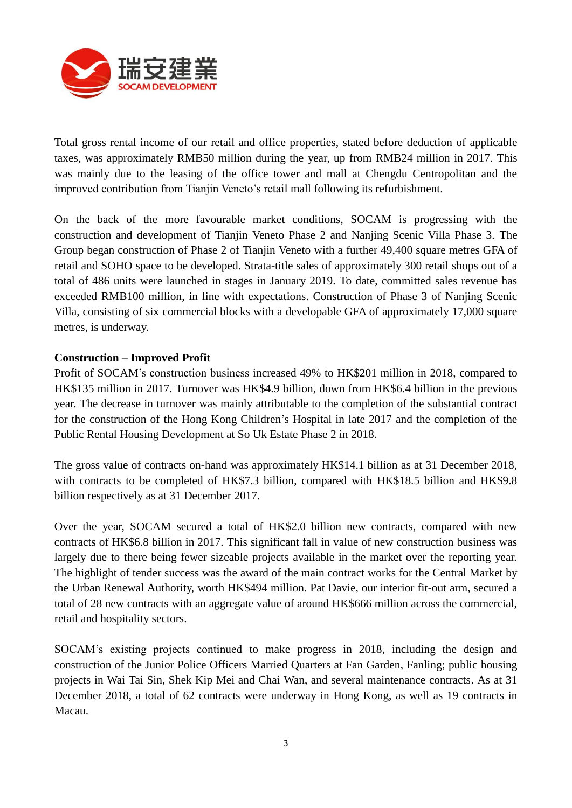

Total gross rental income of our retail and office properties, stated before deduction of applicable taxes, was approximately RMB50 million during the year, up from RMB24 million in 2017. This was mainly due to the leasing of the office tower and mall at Chengdu Centropolitan and the improved contribution from Tianjin Veneto's retail mall following its refurbishment.

On the back of the more favourable market conditions, SOCAM is progressing with the construction and development of Tianjin Veneto Phase 2 and Nanjing Scenic Villa Phase 3. The Group began construction of Phase 2 of Tianjin Veneto with a further 49,400 square metres GFA of retail and SOHO space to be developed. Strata-title sales of approximately 300 retail shops out of a total of 486 units were launched in stages in January 2019. To date, committed sales revenue has exceeded RMB100 million, in line with expectations. Construction of Phase 3 of Nanjing Scenic Villa, consisting of six commercial blocks with a developable GFA of approximately 17,000 square metres, is underway.

#### **Construction – Improved Profit**

Profit of SOCAM's construction business increased 49% to HK\$201 million in 2018, compared to HK\$135 million in 2017. Turnover was HK\$4.9 billion, down from HK\$6.4 billion in the previous year. The decrease in turnover was mainly attributable to the completion of the substantial contract for the construction of the Hong Kong Children's Hospital in late 2017 and the completion of the Public Rental Housing Development at So Uk Estate Phase 2 in 2018.

The gross value of contracts on-hand was approximately HK\$14.1 billion as at 31 December 2018, with contracts to be completed of HK\$7.3 billion, compared with HK\$18.5 billion and HK\$9.8 billion respectively as at 31 December 2017.

Over the year, SOCAM secured a total of HK\$2.0 billion new contracts, compared with new contracts of HK\$6.8 billion in 2017. This significant fall in value of new construction business was largely due to there being fewer sizeable projects available in the market over the reporting year. The highlight of tender success was the award of the main contract works for the Central Market by the Urban Renewal Authority, worth HK\$494 million. Pat Davie, our interior fit-out arm, secured a total of 28 new contracts with an aggregate value of around HK\$666 million across the commercial, retail and hospitality sectors.

SOCAM's existing projects continued to make progress in 2018, including the design and construction of the Junior Police Officers Married Quarters at Fan Garden, Fanling; public housing projects in Wai Tai Sin, Shek Kip Mei and Chai Wan, and several maintenance contracts. As at 31 December 2018, a total of 62 contracts were underway in Hong Kong, as well as 19 contracts in Macau.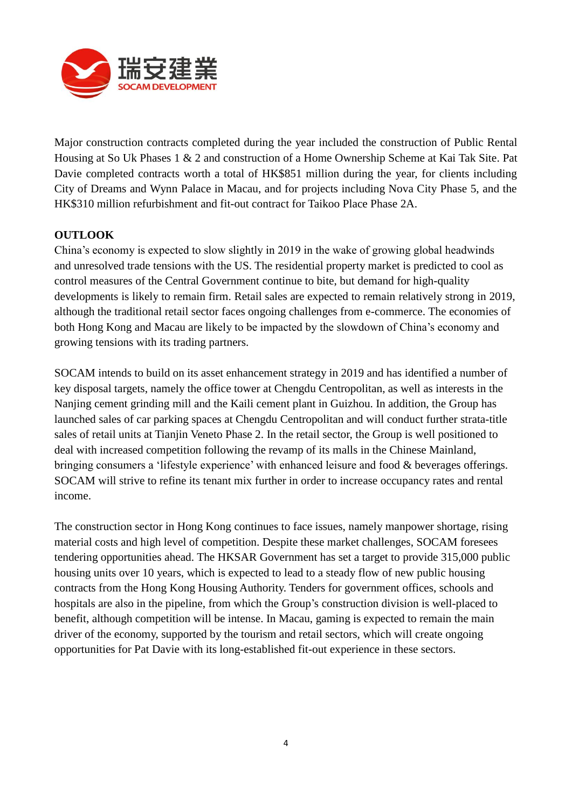

Major construction contracts completed during the year included the construction of Public Rental Housing at So Uk Phases 1 & 2 and construction of a Home Ownership Scheme at Kai Tak Site. Pat Davie completed contracts worth a total of HK\$851 million during the year, for clients including City of Dreams and Wynn Palace in Macau, and for projects including Nova City Phase 5, and the HK\$310 million refurbishment and fit-out contract for Taikoo Place Phase 2A.

## **OUTLOOK**

China's economy is expected to slow slightly in 2019 in the wake of growing global headwinds and unresolved trade tensions with the US. The residential property market is predicted to cool as control measures of the Central Government continue to bite, but demand for high-quality developments is likely to remain firm. Retail sales are expected to remain relatively strong in 2019, although the traditional retail sector faces ongoing challenges from e-commerce. The economies of both Hong Kong and Macau are likely to be impacted by the slowdown of China's economy and growing tensions with its trading partners.

SOCAM intends to build on its asset enhancement strategy in 2019 and has identified a number of key disposal targets, namely the office tower at Chengdu Centropolitan, as well as interests in the Nanjing cement grinding mill and the Kaili cement plant in Guizhou. In addition, the Group has launched sales of car parking spaces at Chengdu Centropolitan and will conduct further strata-title sales of retail units at Tianjin Veneto Phase 2. In the retail sector, the Group is well positioned to deal with increased competition following the revamp of its malls in the Chinese Mainland, bringing consumers a 'lifestyle experience' with enhanced leisure and food & beverages offerings. SOCAM will strive to refine its tenant mix further in order to increase occupancy rates and rental income.

The construction sector in Hong Kong continues to face issues, namely manpower shortage, rising material costs and high level of competition. Despite these market challenges, SOCAM foresees tendering opportunities ahead. The HKSAR Government has set a target to provide 315,000 public housing units over 10 years, which is expected to lead to a steady flow of new public housing contracts from the Hong Kong Housing Authority. Tenders for government offices, schools and hospitals are also in the pipeline, from which the Group's construction division is well-placed to benefit, although competition will be intense. In Macau, gaming is expected to remain the main driver of the economy, supported by the tourism and retail sectors, which will create ongoing opportunities for Pat Davie with its long-established fit-out experience in these sectors.